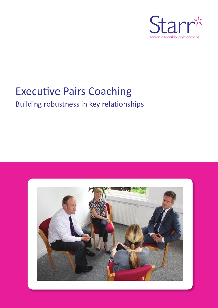

# Executive Pairs Coaching

Building robustness in key relationships

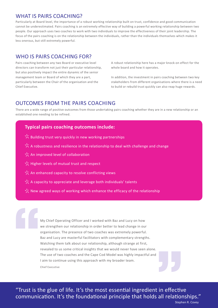## WHAT IS PAIRS COACHING?

Particularly at Board level, the importance of a robust working relationship built on trust, confidence and good communication cannot be underestimated. Pairs coaching is an extremely effective way of building a powerful working relationship between two people. Our approach uses two coaches to work with two individuals to improve the effectiveness of their joint leadership. The focus of the pairs coaching is on the relationship between the individuals, rather than the individuals themselves which makes it less onerous, but still extremely powerful.

## WHO IS PAIRS COACHING FOR?

Pairs coaching between any two Board or executive level directors can transform not just their particular relationship, but also positively impact the entire dynamic of the senior management team or Board of which they are a part, particularly between the Chair of the organisation and the Chief Executive.

A robust relationship here has a major knock-on effect for the whole board and how it operates.

In addition, the investment in pairs coaching between two key stakeholders from different organisations where there is a need to build or rebuild trust quickly can also reap huge rewards.

# OUTCOMES FROM THE PAIRS COACHING

There are a wide range of positive outcomes from those undertaking pairs coaching whether they are in a new relationship or an established one needing to be refined.

## **Typical pairs coaching outcomes include:**

- $\frac{1}{2}$  Building trust very quickly in new working partnerships
- $\frac{1}{2}$  A robustness and resilience in the relationship to deal with challenge and change
- $\chi$ <sup>t</sup> An improved level of collaboration
- $\frac{1}{11}$  Higher levels of mutual trust and respect
- $\chi^4$ . An enhanced capacity to resolve conflicting views
- $\frac{1}{2}$ . A capacity to appreciate and leverage both individuals' talents
- $\sqrt{\xi}$  New agreed ways of working which enhance the efficacy of the relationship

My Chief Operating Officer and I worked with Baz and Lucy on how<br>
we strengthen our relationship in order better to lead change in ou<br>
organisation. The presence of two coaches was extremely powerful<br>
Baz and Lucy are mast we strengthen our relationship in order better to lead change in our organisation. The presence of two coaches was extremely powerful. Baz and Lucy are masterful facilitators with complementary strengths. Watching them talk about our relationship, although strange at first, revealed to us some critical insights that we would never have seen alone. The use of two coaches and the Cape Cod Model was highly impactful and I aim to continue using this approach with my broader team. Chief Executive

"Trust is the glue of life. It's the most essential ingredient in effective communication. It's the foundational principle that holds all relationships." The Stephending Stephending Stephending Stephending Stephending Stephending Stephending Stephending Stephending Stephending Stephending Stephending Stephending Stephending Stephending Stephending Stephending Stephending St

Stephen R. Covey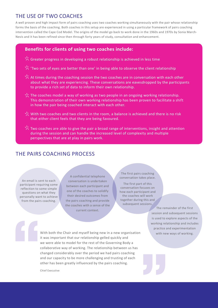## THE USE OF TWO COACHES

A well proven and high impact form of pairs coaching uses two coaches working simultaneously with the pair whose relationship forms the basis of the coaching. Both coaches in this setup are experienced in using a particular framework of pairs coaching intervention called the Cape Cod Model. The origins of the model go back to work done in the 1960s and 1970s by Sonia March-Nevis and it has been refined since then through forty years of study, consultation and enhancement.

#### **Benefits for clients of using two coaches include:**

- $\frac{1}{2}$  Greater progress in developing a robust relationship is achieved in less time
- Y 'Two sets of eyes are better than one' in being able to observe the client relationship
- $\frac{1}{2}$ . At times during the coaching session the two coaches are in conversation with each other about what they are experiencing. These conversations are eavesdropped by the participants to provide a rich set of data to inform their own relationship.
- $\cdot$ . The coaches model a way of working as two people in an ongoing working relationship. This demonstration of their own working relationship has been proven to facilitate a shift in how the pair being coached interact with each other.
- $\cdot$ . With two coaches and two clients in the room, a balance is achieved and there is no risk that either client feels that they are being favoured.
- Two coaches are able to give the pair a broad range of interventions, insight and attention during the session and can handle the increased level of complexity and multiple perspectives that are at play in pairs work.

## THE PAIRS COACHING PROCESS

An email is sent to each participant requiring some reflection to some simple questions on what they personally want to achieve from the pairs coaching.

A confidential telephone conversation is undertaken between each participant and one of the coaches to solidify their desired outcomes from the pairs coaching and provide the coaches with a sense of the current context.

The first pairs coaching conversation takes place.

The first part of this conversation focuses on how each participant and the coaches will work together during this and subsequent sessions.

> The remainder of the first session and subsequent sessions is used to explore aspects of the working relationship and includes practice and experimentation with new ways of working.

**JJ** With both the Chair and myself being new in a new organisation<br>
it was important that our relationship gelled quickly and<br>
we were able to model for the rest of the Governing Body a<br>
collaborative way of working. The relat it was important that our relationship gelled quickly and we were able to model for the rest of the Governing Body a collaborative way of working. The relationship between us has changed considerably over the period we had pairs coaching and our capacity to be more challenging and trusting of each other has been greatly influenced by the pairs coaching.

Chief Executive